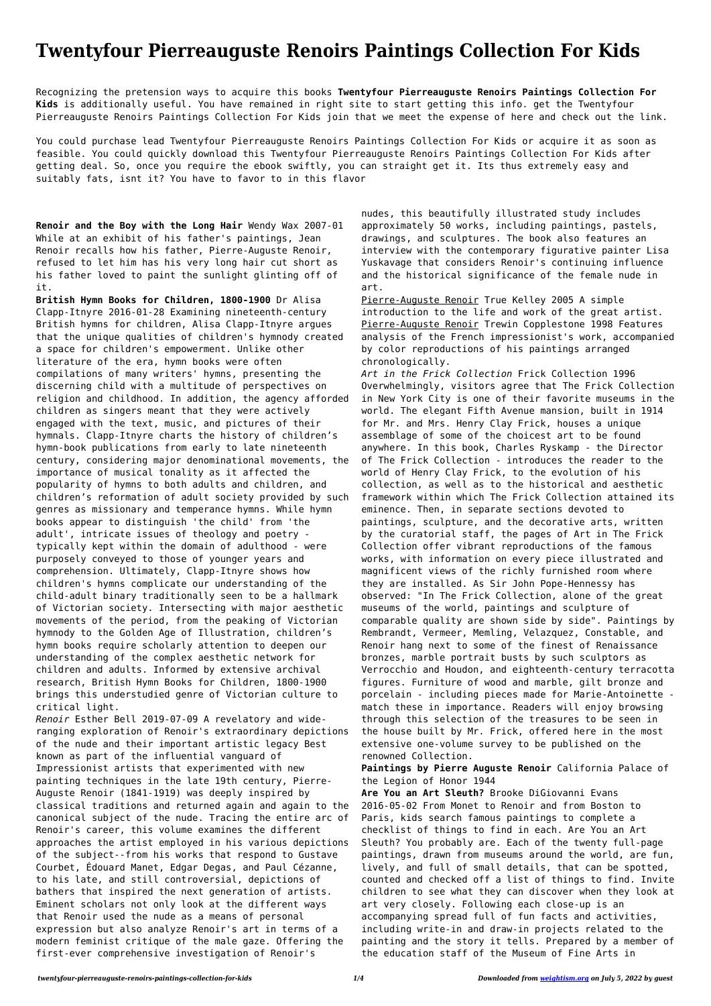## **Twentyfour Pierreauguste Renoirs Paintings Collection For Kids**

Recognizing the pretension ways to acquire this books **Twentyfour Pierreauguste Renoirs Paintings Collection For Kids** is additionally useful. You have remained in right site to start getting this info. get the Twentyfour Pierreauguste Renoirs Paintings Collection For Kids join that we meet the expense of here and check out the link.

You could purchase lead Twentyfour Pierreauguste Renoirs Paintings Collection For Kids or acquire it as soon as feasible. You could quickly download this Twentyfour Pierreauguste Renoirs Paintings Collection For Kids after getting deal. So, once you require the ebook swiftly, you can straight get it. Its thus extremely easy and suitably fats, isnt it? You have to favor to in this flavor

**Renoir and the Boy with the Long Hair** Wendy Wax 2007-01 While at an exhibit of his father's paintings, Jean Renoir recalls how his father, Pierre-Auguste Renoir, refused to let him has his very long hair cut short as his father loved to paint the sunlight glinting off of it.

**British Hymn Books for Children, 1800-1900** Dr Alisa Clapp-Itnyre 2016-01-28 Examining nineteenth-century British hymns for children, Alisa Clapp-Itnyre argues that the unique qualities of children's hymnody created a space for children's empowerment. Unlike other literature of the era, hymn books were often compilations of many writers' hymns, presenting the discerning child with a multitude of perspectives on religion and childhood. In addition, the agency afforded children as singers meant that they were actively engaged with the text, music, and pictures of their hymnals. Clapp-Itnyre charts the history of children's hymn-book publications from early to late nineteenth century, considering major denominational movements, the importance of musical tonality as it affected the popularity of hymns to both adults and children, and children's reformation of adult society provided by such genres as missionary and temperance hymns. While hymn books appear to distinguish 'the child' from 'the adult', intricate issues of theology and poetry typically kept within the domain of adulthood - were purposely conveyed to those of younger years and comprehension. Ultimately, Clapp-Itnyre shows how children's hymns complicate our understanding of the child-adult binary traditionally seen to be a hallmark of Victorian society. Intersecting with major aesthetic movements of the period, from the peaking of Victorian hymnody to the Golden Age of Illustration, children's hymn books require scholarly attention to deepen our understanding of the complex aesthetic network for children and adults. Informed by extensive archival research, British Hymn Books for Children, 1800-1900 brings this understudied genre of Victorian culture to critical light.

*Renoir* Esther Bell 2019-07-09 A revelatory and wideranging exploration of Renoir's extraordinary depictions of the nude and their important artistic legacy Best known as part of the influential vanguard of

Impressionist artists that experimented with new painting techniques in the late 19th century, Pierre-Auguste Renoir (1841-1919) was deeply inspired by classical traditions and returned again and again to the canonical subject of the nude. Tracing the entire arc of Renoir's career, this volume examines the different approaches the artist employed in his various depictions of the subject--from his works that respond to Gustave Courbet, Édouard Manet, Edgar Degas, and Paul Cézanne, to his late, and still controversial, depictions of bathers that inspired the next generation of artists. Eminent scholars not only look at the different ways that Renoir used the nude as a means of personal expression but also analyze Renoir's art in terms of a modern feminist critique of the male gaze. Offering the first-ever comprehensive investigation of Renoir's

nudes, this beautifully illustrated study includes approximately 50 works, including paintings, pastels, drawings, and sculptures. The book also features an interview with the contemporary figurative painter Lisa Yuskavage that considers Renoir's continuing influence and the historical significance of the female nude in art.

Pierre-Auguste Renoir True Kelley 2005 A simple introduction to the life and work of the great artist. Pierre-Auguste Renoir Trewin Copplestone 1998 Features analysis of the French impressionist's work, accompanied by color reproductions of his paintings arranged chronologically.

*Art in the Frick Collection* Frick Collection 1996 Overwhelmingly, visitors agree that The Frick Collection in New York City is one of their favorite museums in the world. The elegant Fifth Avenue mansion, built in 1914 for Mr. and Mrs. Henry Clay Frick, houses a unique assemblage of some of the choicest art to be found anywhere. In this book, Charles Ryskamp - the Director of The Frick Collection - introduces the reader to the world of Henry Clay Frick, to the evolution of his collection, as well as to the historical and aesthetic framework within which The Frick Collection attained its eminence. Then, in separate sections devoted to paintings, sculpture, and the decorative arts, written by the curatorial staff, the pages of Art in The Frick Collection offer vibrant reproductions of the famous works, with information on every piece illustrated and magnificent views of the richly furnished room where they are installed. As Sir John Pope-Hennessy has observed: "In The Frick Collection, alone of the great museums of the world, paintings and sculpture of comparable quality are shown side by side". Paintings by Rembrandt, Vermeer, Memling, Velazquez, Constable, and Renoir hang next to some of the finest of Renaissance bronzes, marble portrait busts by such sculptors as Verrocchio and Houdon, and eighteenth-century terracotta figures. Furniture of wood and marble, gilt bronze and porcelain - including pieces made for Marie-Antoinette match these in importance. Readers will enjoy browsing through this selection of the treasures to be seen in the house built by Mr. Frick, offered here in the most extensive one-volume survey to be published on the renowned Collection.

**Paintings by Pierre Auguste Renoir** California Palace of the Legion of Honor 1944

**Are You an Art Sleuth?** Brooke DiGiovanni Evans 2016-05-02 From Monet to Renoir and from Boston to Paris, kids search famous paintings to complete a checklist of things to find in each. Are You an Art Sleuth? You probably are. Each of the twenty full-page paintings, drawn from museums around the world, are fun, lively, and full of small details, that can be spotted, counted and checked off a list of things to find. Invite children to see what they can discover when they look at art very closely. Following each close-up is an accompanying spread full of fun facts and activities, including write-in and draw-in projects related to the painting and the story it tells. Prepared by a member of the education staff of the Museum of Fine Arts in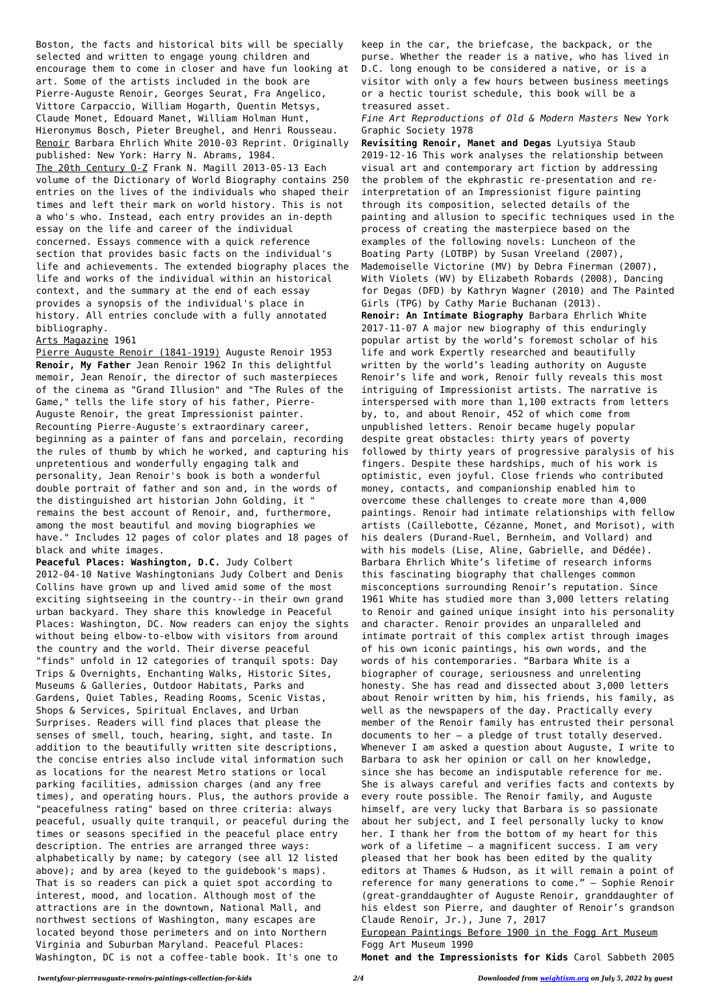Boston, the facts and historical bits will be specially selected and written to engage young children and encourage them to come in closer and have fun looking at art. Some of the artists included in the book are Pierre-Auguste Renoir, Georges Seurat, Fra Angelico, Vittore Carpaccio, William Hogarth, Quentin Metsys, Claude Monet, Edouard Manet, William Holman Hunt, Hieronymus Bosch, Pieter Breughel, and Henri Rousseau. Renoir Barbara Ehrlich White 2010-03 Reprint. Originally published: New York: Harry N. Abrams, 1984. The 20th Century O-Z Frank N. Magill 2013-05-13 Each volume of the Dictionary of World Biography contains 250 entries on the lives of the individuals who shaped their times and left their mark on world history. This is not a who's who. Instead, each entry provides an in-depth essay on the life and career of the individual concerned. Essays commence with a quick reference section that provides basic facts on the individual's life and achievements. The extended biography places the life and works of the individual within an historical context, and the summary at the end of each essay provides a synopsis of the individual's place in history. All entries conclude with a fully annotated bibliography.

## Arts Magazine 1961

Pierre Auguste Renoir (1841-1919) Auguste Renoir 1953 **Renoir, My Father** Jean Renoir 1962 In this delightful memoir, Jean Renoir, the director of such masterpieces of the cinema as "Grand Illusion" and "The Rules of the Game," tells the life story of his father, Pierre-Auguste Renoir, the great Impressionist painter. Recounting Pierre-Auguste's extraordinary career, beginning as a painter of fans and porcelain, recording the rules of thumb by which he worked, and capturing his unpretentious and wonderfully engaging talk and personality, Jean Renoir's book is both a wonderful double portrait of father and son and, in the words of the distinguished art historian John Golding, it " remains the best account of Renoir, and, furthermore, among the most beautiful and moving biographies we have." Includes 12 pages of color plates and 18 pages of black and white images.

**Peaceful Places: Washington, D.C.** Judy Colbert 2012-04-10 Native Washingtonians Judy Colbert and Denis Collins have grown up and lived amid some of the most exciting sightseeing in the country--in their own grand urban backyard. They share this knowledge in Peaceful Places: Washington, DC. Now readers can enjoy the sights without being elbow-to-elbow with visitors from around the country and the world. Their diverse peaceful "finds" unfold in 12 categories of tranquil spots: Day Trips & Overnights, Enchanting Walks, Historic Sites, Museums & Galleries, Outdoor Habitats, Parks and Gardens, Quiet Tables, Reading Rooms, Scenic Vistas, Shops & Services, Spiritual Enclaves, and Urban Surprises. Readers will find places that please the senses of smell, touch, hearing, sight, and taste. In addition to the beautifully written site descriptions, the concise entries also include vital information such as locations for the nearest Metro stations or local parking facilities, admission charges (and any free times), and operating hours. Plus, the authors provide a "peacefulness rating" based on three criteria: always peaceful, usually quite tranquil, or peaceful during the times or seasons specified in the peaceful place entry description. The entries are arranged three ways: alphabetically by name; by category (see all 12 listed above); and by area (keyed to the guidebook's maps). That is so readers can pick a quiet spot according to interest, mood, and location. Although most of the attractions are in the downtown, National Mall, and northwest sections of Washington, many escapes are located beyond those perimeters and on into Northern Virginia and Suburban Maryland. Peaceful Places: Washington, DC is not a coffee-table book. It's one to

keep in the car, the briefcase, the backpack, or the purse. Whether the reader is a native, who has lived in D.C. long enough to be considered a native, or is a visitor with only a few hours between business meetings or a hectic tourist schedule, this book will be a treasured asset.

*Fine Art Reproductions of Old & Modern Masters* New York Graphic Society 1978

**Revisiting Renoir, Manet and Degas** Lyutsiya Staub 2019-12-16 This work analyses the relationship between visual art and contemporary art fiction by addressing the problem of the ekphrastic re-presentation and reinterpretation of an Impressionist figure painting through its composition, selected details of the painting and allusion to specific techniques used in the process of creating the masterpiece based on the examples of the following novels: Luncheon of the Boating Party (LOTBP) by Susan Vreeland (2007), Mademoiselle Victorine (MV) by Debra Finerman (2007), With Violets (WV) by Elizabeth Robards (2008), Dancing for Degas (DFD) by Kathryn Wagner (2010) and The Painted Girls (TPG) by Cathy Marie Buchanan (2013). **Renoir: An Intimate Biography** Barbara Ehrlich White 2017-11-07 A major new biography of this enduringly popular artist by the world's foremost scholar of his life and work Expertly researched and beautifully written by the world's leading authority on Auguste Renoir's life and work, Renoir fully reveals this most intriguing of Impressionist artists. The narrative is interspersed with more than 1,100 extracts from letters by, to, and about Renoir, 452 of which come from unpublished letters. Renoir became hugely popular despite great obstacles: thirty years of poverty followed by thirty years of progressive paralysis of his fingers. Despite these hardships, much of his work is optimistic, even joyful. Close friends who contributed money, contacts, and companionship enabled him to overcome these challenges to create more than 4,000 paintings. Renoir had intimate relationships with fellow artists (Caillebotte, Cézanne, Monet, and Morisot), with his dealers (Durand-Ruel, Bernheim, and Vollard) and with his models (Lise, Aline, Gabrielle, and Dédée). Barbara Ehrlich White's lifetime of research informs this fascinating biography that challenges common misconceptions surrounding Renoir's reputation. Since 1961 White has studied more than 3,000 letters relating to Renoir and gained unique insight into his personality and character. Renoir provides an unparalleled and intimate portrait of this complex artist through images of his own iconic paintings, his own words, and the words of his contemporaries. "Barbara White is a biographer of courage, seriousness and unrelenting honesty. She has read and dissected about 3,000 letters about Renoir written by him, his friends, his family, as well as the newspapers of the day. Practically every member of the Renoir family has entrusted their personal documents to her – a pledge of trust totally deserved. Whenever I am asked a question about Auguste, I write to Barbara to ask her opinion or call on her knowledge, since she has become an indisputable reference for me. She is always careful and verifies facts and contexts by every route possible. The Renoir family, and Auguste himself, are very lucky that Barbara is so passionate about her subject, and I feel personally lucky to know her. I thank her from the bottom of my heart for this work of a lifetime – a magnificent success. I am very pleased that her book has been edited by the quality editors at Thames & Hudson, as it will remain a point of reference for many generations to come." – Sophie Renoir (great-granddaughter of Auguste Renoir, granddaughter of his eldest son Pierre, and daughter of Renoir's grandson Claude Renoir, Jr.), June 7, 2017 European Paintings Before 1900 in the Fogg Art Museum Fogg Art Museum 1990 **Monet and the Impressionists for Kids** Carol Sabbeth 2005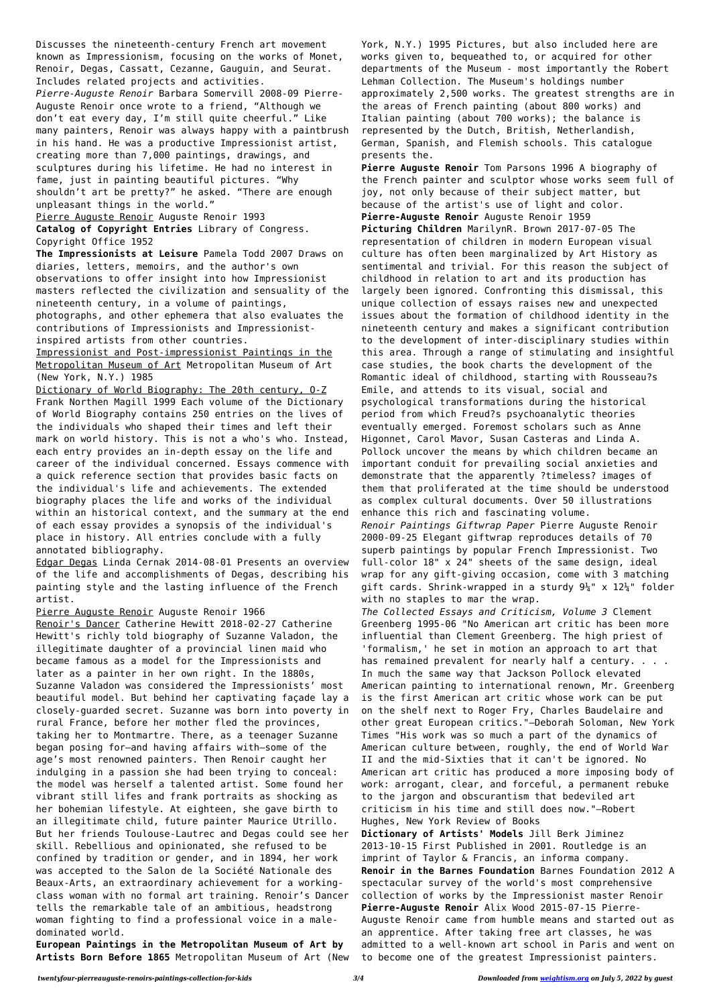Discusses the nineteenth-century French art movement known as Impressionism, focusing on the works of Monet, Renoir, Degas, Cassatt, Cezanne, Gauguin, and Seurat. Includes related projects and activities. *Pierre-Auguste Renoir* Barbara Somervill 2008-09 Pierre-Auguste Renoir once wrote to a friend, "Although we don't eat every day, I'm still quite cheerful." Like many painters, Renoir was always happy with a paintbrush in his hand. He was a productive Impressionist artist, creating more than 7,000 paintings, drawings, and sculptures during his lifetime. He had no interest in fame, just in painting beautiful pictures. "Why shouldn't art be pretty?" he asked. "There are enough unpleasant things in the world."

Pierre Auguste Renoir Auguste Renoir 1993

**Catalog of Copyright Entries** Library of Congress. Copyright Office 1952

**The Impressionists at Leisure** Pamela Todd 2007 Draws on diaries, letters, memoirs, and the author's own observations to offer insight into how Impressionist masters reflected the civilization and sensuality of the nineteenth century, in a volume of paintings, photographs, and other ephemera that also evaluates the contributions of Impressionists and Impressionistinspired artists from other countries.

Impressionist and Post-impressionist Paintings in the Metropolitan Museum of Art Metropolitan Museum of Art (New York, N.Y.) 1985

Dictionary of World Biography: The 20th century, O-Z Frank Northen Magill 1999 Each volume of the Dictionary of World Biography contains 250 entries on the lives of the individuals who shaped their times and left their mark on world history. This is not a who's who. Instead, each entry provides an in-depth essay on the life and career of the individual concerned. Essays commence with a quick reference section that provides basic facts on the individual's life and achievements. The extended biography places the life and works of the individual within an historical context, and the summary at the end of each essay provides a synopsis of the individual's place in history. All entries conclude with a fully annotated bibliography.

Edgar Degas Linda Cernak 2014-08-01 Presents an overview of the life and accomplishments of Degas, describing his painting style and the lasting influence of the French artist.

## Pierre Auguste Renoir Auguste Renoir 1966

Renoir's Dancer Catherine Hewitt 2018-02-27 Catherine Hewitt's richly told biography of Suzanne Valadon, the illegitimate daughter of a provincial linen maid who became famous as a model for the Impressionists and later as a painter in her own right. In the 1880s, Suzanne Valadon was considered the Impressionists' most beautiful model. But behind her captivating façade lay a closely-guarded secret. Suzanne was born into poverty in rural France, before her mother fled the provinces, taking her to Montmartre. There, as a teenager Suzanne began posing for—and having affairs with—some of the age's most renowned painters. Then Renoir caught her indulging in a passion she had been trying to conceal: the model was herself a talented artist. Some found her vibrant still lifes and frank portraits as shocking as her bohemian lifestyle. At eighteen, she gave birth to an illegitimate child, future painter Maurice Utrillo. But her friends Toulouse-Lautrec and Degas could see her skill. Rebellious and opinionated, she refused to be confined by tradition or gender, and in 1894, her work was accepted to the Salon de la Société Nationale des Beaux-Arts, an extraordinary achievement for a workingclass woman with no formal art training. Renoir's Dancer tells the remarkable tale of an ambitious, headstrong woman fighting to find a professional voice in a maledominated world.

**European Paintings in the Metropolitan Museum of Art by Artists Born Before 1865** Metropolitan Museum of Art (New York, N.Y.) 1995 Pictures, but also included here are works given to, bequeathed to, or acquired for other departments of the Museum - most importantly the Robert Lehman Collection. The Museum's holdings number approximately 2,500 works. The greatest strengths are in the areas of French painting (about 800 works) and Italian painting (about 700 works); the balance is represented by the Dutch, British, Netherlandish, German, Spanish, and Flemish schools. This catalogue presents the.

**Pierre Auguste Renoir** Tom Parsons 1996 A biography of the French painter and sculptor whose works seem full of joy, not only because of their subject matter, but because of the artist's use of light and color. **Pierre-Auguste Renoir** Auguste Renoir 1959

**Picturing Children** MarilynR. Brown 2017-07-05 The representation of children in modern European visual culture has often been marginalized by Art History as sentimental and trivial. For this reason the subject of childhood in relation to art and its production has largely been ignored. Confronting this dismissal, this unique collection of essays raises new and unexpected issues about the formation of childhood identity in the nineteenth century and makes a significant contribution to the development of inter-disciplinary studies within this area. Through a range of stimulating and insightful case studies, the book charts the development of the Romantic ideal of childhood, starting with Rousseau?s Emile, and attends to its visual, social and psychological transformations during the historical period from which Freud?s psychoanalytic theories eventually emerged. Foremost scholars such as Anne Higonnet, Carol Mavor, Susan Casteras and Linda A. Pollock uncover the means by which children became an important conduit for prevailing social anxieties and demonstrate that the apparently ?timeless? images of them that proliferated at the time should be understood as complex cultural documents. Over 50 illustrations enhance this rich and fascinating volume.

*Renoir Paintings Giftwrap Paper* Pierre Auguste Renoir 2000-09-25 Elegant giftwrap reproduces details of 70 superb paintings by popular French Impressionist. Two full-color 18" x 24" sheets of the same design, ideal wrap for any gift-giving occasion, come with 3 matching gift cards. Shrink-wrapped in a sturdy  $9\frac{1}{4}$ " x  $12\frac{1}{4}$ " folder with no staples to mar the wrap.

*The Collected Essays and Criticism, Volume 3* Clement Greenberg 1995-06 "No American art critic has been more influential than Clement Greenberg. The high priest of 'formalism,' he set in motion an approach to art that has remained prevalent for nearly half a century. . . . In much the same way that Jackson Pollock elevated American painting to international renown, Mr. Greenberg is the first American art critic whose work can be put on the shelf next to Roger Fry, Charles Baudelaire and other great European critics."—Deborah Soloman, New York Times "His work was so much a part of the dynamics of American culture between, roughly, the end of World War II and the mid-Sixties that it can't be ignored. No American art critic has produced a more imposing body of work: arrogant, clear, and forceful, a permanent rebuke to the jargon and obscurantism that bedeviled art criticism in his time and still does now."—Robert Hughes, New York Review of Books **Dictionary of Artists' Models** Jill Berk Jiminez 2013-10-15 First Published in 2001. Routledge is an imprint of Taylor & Francis, an informa company. **Renoir in the Barnes Foundation** Barnes Foundation 2012 A spectacular survey of the world's most comprehensive collection of works by the Impressionist master Renoir **Pierre-Auguste Renoir** Alix Wood 2015-07-15 Pierre-Auguste Renoir came from humble means and started out as an apprentice. After taking free art classes, he was admitted to a well-known art school in Paris and went on to become one of the greatest Impressionist painters.